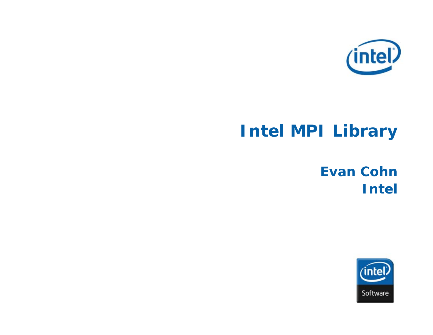

# **Intel MPI Library**

## **Evan Cohn Intel**

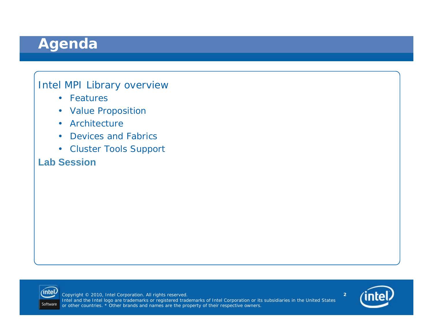## **Agenda**

#### Intel MPI Library overview

- Features
- Value Proposition
- Architecture
- •Devices and Fabrics
- Cluster Tools Support

#### **Lab Session**



Copyright © 2010, Intel Corporation. All rights reserved. Intel and the Intel logo are trademarks or registered trademarks of Intel Corporation or its subsidiaries in the United States or other countries. \* Other brands and names are the property of their respective owners.

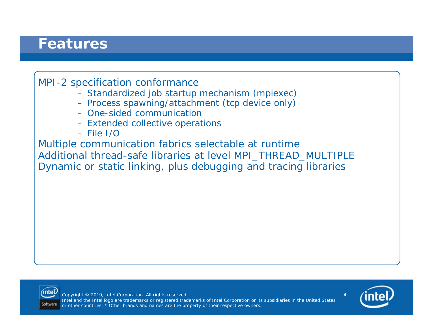#### **Features**

#### MPI-2 specification conformance

- Standardized job startup mechanism (mpiexec)
- Process spawning/attachment (tcp device only)
- One-sided communication
- Extended collective operations
- File I/O

Multiple communication fabrics selectable at runtime Additional thread-safe libraries at level MPI\_THREAD\_MULTIPLE Dynamic or static linking, plus debugging and tracing libraries



Copyright © 2010, Intel Corporation. All rights reserved. Intel and the Intel logo are trademarks or registered trademarks of Intel Corporation or its subsidiaries in the United States or other countries. \* Other brands and names are the property of their respective owners.

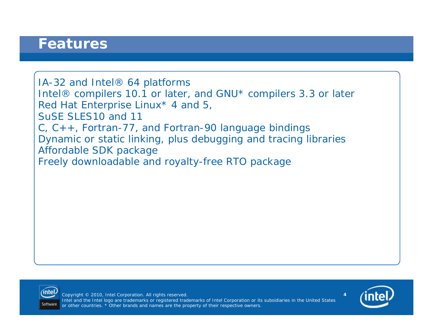#### **Features**

IA-32 and Intel® 64 platforms Intel® compilers 10.1 or later, and GNU\* compilers 3.3 or later Red Hat Enterprise Linux\* 4 and 5, SuSE SLES10 and 11C, C++, Fortran-77, and Fortran-90 language bindings Dynamic or static linking, plus debugging and tracing libraries Affordable SDK package Freely downloadable and royalty-free RTO package



Copyright © 2010, Intel Corporation. All rights reserved. Intel and the Intel logo are trademarks or registered trademarks of Intel Corporation or its subsidiaries in the United States or other countries. \* Other brands and names are the property of their respective owners.

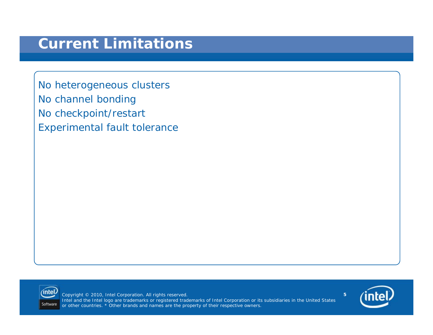No heterogeneous clusters No channel bonding No checkpoint/restart Experimental fault tolerance



Copyright © 2010, Intel Corporation. All rights reserved. Intel and the Intel logo are trademarks or registered trademarks of Intel Corporation or its subsidiaries in the United States or other countries. \* Other brands and names are the property of their respective owners.

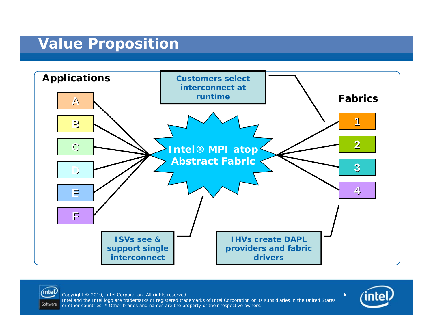### **Value Proposition**





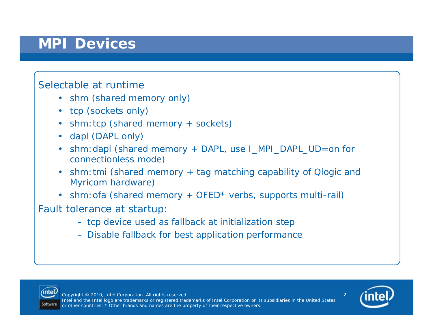### **MPI Devices**

#### Selectable at runtime

- shm (shared memory only)
- tcp (sockets only)
- shm:tcp (shared memory + sockets)
- dapl (DAPL only)
- shm:dapl (shared memory + DAPL, use I\_MPI\_DAPL\_UD=on for connectionless mode)
- shm:tmi (shared memory + tag matching capability of Qlogic and Myricom hardware)
- shm:ofa (shared memory + OFED\* verbs, supports multi-rail)

Fault tolerance at startup:

- tcp device used as fallback at initialization step
- Disable fallback for best application performance



Copyright © 2010, Intel Corporation. All rights reserved. Intel and the Intel logo are trademarks or registered trademarks of Intel Corporation or its subsidiaries in the United States or other countries. \* Other brands and names are the property of their respective owners.

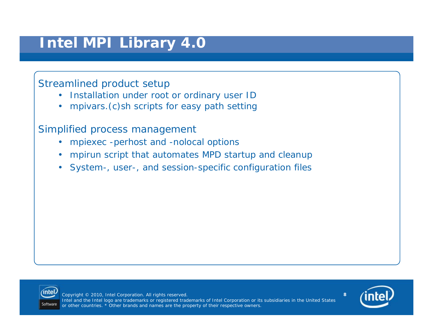## **Intel MPI Library 4.0**

#### Streamlined product setup

- $\bullet$ Installation under root or ordinary user ID
- •mpivars.(c)sh scripts for easy path setting

Simplified process management

- •mpiexec -perhost and -nolocal options
- •mpirun script that automates MPD startup and cleanup
- System-, user-, and session-specific configuration files



Copyright © 2010, Intel Corporation. All rights reserved. Intel and the Intel logo are trademarks or registered trademarks of Intel Corporation or its subsidiaries in the United States or other countries. \* Other brands and names are the property of their respective owners.

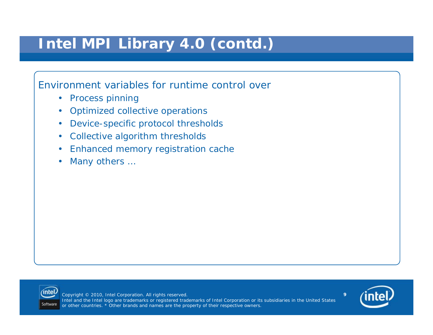## **Intel MPI Library 4.0 (***contd***.)**

#### Environment variables for runtime control over

- Process pinning
- Optimized collective operations
- $\bullet$ Device-specific protocol thresholds
- •Collective algorithm thresholds
- •Enhanced memory registration cache
- •Many others …



Copyright © 2010, Intel Corporation. All rights reserved. Intel and the Intel logo are trademarks or registered trademarks of Intel Corporation or its subsidiaries in the United States or other countries. \* Other brands and names are the property of their respective owners.

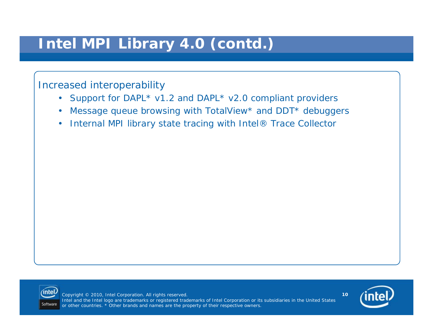## **Intel MPI Library 4.0 (***contd***.)**

#### Increased interoperability

- Support for DAPL\* v1.2 and DAPL\* v2.0 compliant providers
- •Message queue browsing with TotalView\* and DDT\* debuggers
- $\bullet$ Internal MPI library state tracing with Intel® Trace Collector



Copyright © 2010, Intel Corporation. All rights reserved. Intel and the Intel logo are trademarks or registered trademarks of Intel Corporation or its subsidiaries in the United States or other countries. \* Other brands and names are the property of their respective owners.

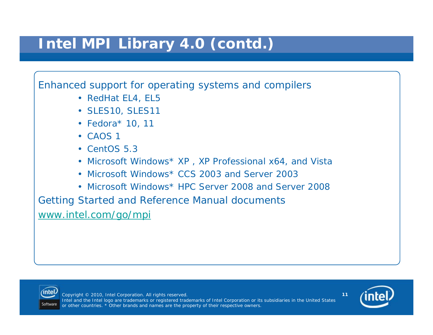## **Intel MPI Library 4.0 (***contd***.)**

#### Enhanced support for operating systems and compilers

- RedHat EL4, EL5
- SLES10, SLES11
- Fedora\* 10, 11
- CAOS 1
- CentOS 5.3
- Microsoft Windows\* XP , XP Professional x64, and Vista
- Microsoft Windows\* CCS 2003 and Server 2003
- Microsoft Windows\* HPC Server 2008 and Server 2008

Getting Started and Reference Manual documents [www.intel.com/go/mpi](http://www.intel.com/go/mpi)



Copyright © 2010, Intel Corporation. All rights reserved. Intel and the Intel logo are trademarks or registered trademarks of Intel Corporation or its subsidiaries in the United States or other countries. \* Other brands and names are the property of their respective owners.

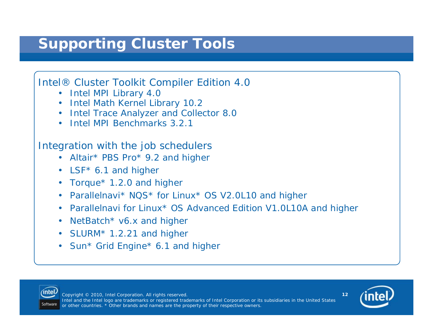## **Supporting Cluster Tools**

#### Intel® Cluster Toolkit Compiler Edition 4.0

- Intel MPI Library 4.0
- Intel Math Kernel Library 10.2
- Intel Trace Analyzer and Collector 8.0
- Intel MPI Benchmarks 3.2.1

#### Integration with the job schedulers

- Altair\* PBS Pro\* 9.2 and higher
- LSF<sup>\*</sup> 6.1 and higher
- Torque\* 1.2.0 and higher
- Parallelnavi\* NQS\* for Linux\* OS V2.0L10 and higher
- Parallelnavi for Linux\* OS Advanced Edition V1.0L10A and higher
- NetBatch\* v6.x and higher
- SLURM\* 1.2.21 and higher
- Sun\* Grid Engine\* 6.1 and higher



Copyright © 2010, Intel Corporation. All rights reserved. Intel and the Intel logo are trademarks or registered trademarks of Intel Corporation or its subsidiaries in the United States or other countries. \* Other brands and names are the property of their respective owners.

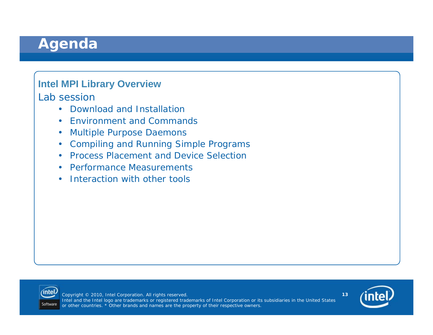### **Agenda**

#### **Intel MPI Library Overview**

Lab session

- Download and Installation
- Environment and Commands
- •Multiple Purpose Daemons
- Compiling and Running Simple Programs
- Process Placement and Device Selection
- Performance Measurements
- Interaction with other tools



Copyright © 2010, Intel Corporation. All rights reserved. Intel and the Intel logo are trademarks or registered trademarks of Intel Corporation or its subsidiaries in the United States or other countries. \* Other brands and names are the property of their respective owners.

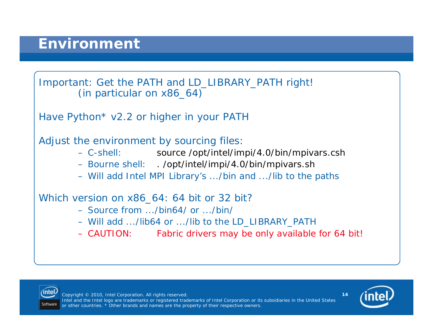



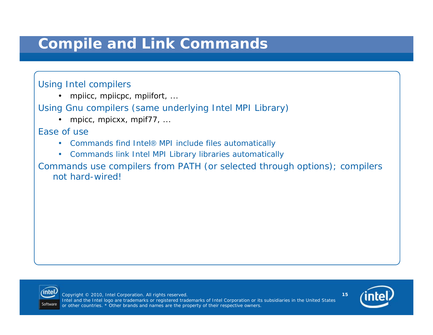## **Compile and Link Commands**

#### Using Intel compilers

•mpiicc, mpiicpc, mpiifort, ...

Using Gnu compilers (same underlying Intel MPI Library)

•mpicc, mpicxx, mpif77, ...

Ease of use

- Commands find Intel® MPI include files automatically
- Commands link Intel MPI Library libraries automatically

Commands use compilers from PATH (or selected through options); compilers not hard-wired!



Copyright © 2010, Intel Corporation. All rights reserved. Intel and the Intel logo are trademarks or registered trademarks of Intel Corporation or its subsidiaries in the United States or other countries. \* Other brands and names are the property of their respective owners.

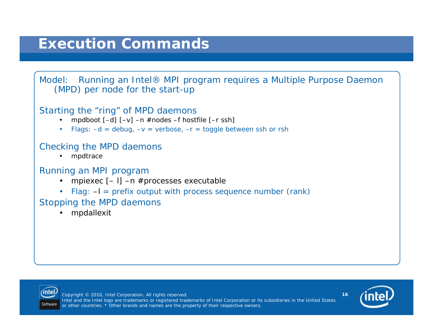## **Execution Commands**



#### Starting the "ring" of MPD daemons

- •mpdboot [–d] [–v] –n #nodes –f hostfile [–r ssh]
- Flags: –d = debug, –v = verbose, –r = toggle between ssh or rsh

#### Checking the MPD daemons

•mpdtrace

#### Running an MPI program

- •mpiexec [– l] –n #processes executable
- Flag: -I = prefix output with process sequence number (rank)

#### Stopping the MPD daemons

•mpdallexit



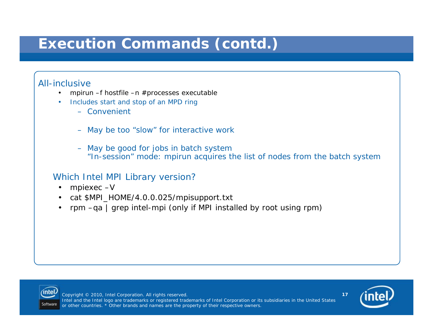## **Execution Commands (***contd***.)**

#### All-inclusive

•

- • mpirun –f hostfile –n #processes executable
	- Includes start and stop of an MPD ring
		- Convenient
		- May be too "slow" for interactive work
		- May be good for jobs in batch system "In-session" mode: mpirun acquires the list of nodes from the batch system

#### Which Intel MPI Library version?

- •mpiexec –V
- cat \$MPI\_HOME/4.0.0.025/mpisupport.txt
- rpm –qa | grep intel-mpi (only if MPI installed by root using rpm)



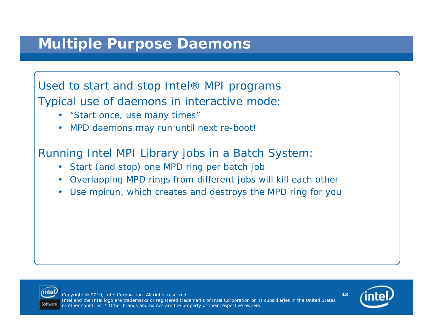Used to start and stop Intel® MPI programs Typical use of daemons in interactive mode:

- "Start once, use many times"
- MPD daemons may run until next re-boot!

Running Intel MPI Library jobs in a Batch System:

- •Start (and stop) one MPD ring per batch job
- Overlapping MPD rings from different jobs will kill each other
- $\bullet$ Use mpirun, which creates and destroys the MPD ring for you



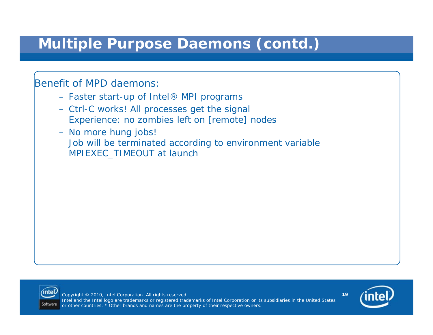## **Multiple Purpose Daemons (***contd***.)**

Benefit of MPD daemons:

- Faster start-up of Intel® MPI programs
- Ctrl-C works! All processes get the signal Experience: no zombies left on [remote] nodes
- No more hung jobs! Job will be terminated according to environment variable MPIEXEC\_TIMEOUT at launch



Copyright © 2010, Intel Corporation. All rights reserved. Intel and the Intel logo are trademarks or registered trademarks of Intel Corporation or its subsidiaries in the United States or other countries. \* Other brands and names are the property of their respective owners.

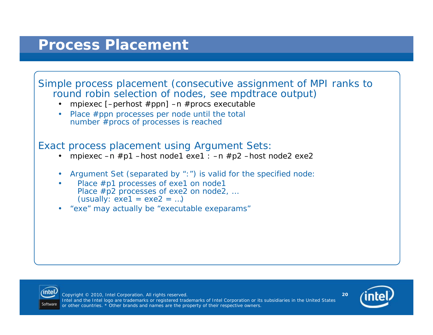## **Process Placement**

#### Simple process placement (consecutive assignment of MPI ranks to round robin selection of nodes, see mpdtrace output)

- •mpiexec [–perhost #ppn] –n #procs executable
- Place #ppn processes per node until the total number #procs of processes is reached

#### Exact process placement using Argument Sets:

- •mpiexec –n #p1 –host node1 exe1 : –n #p2 –host node2 exe2
- •Argument Set (separated by ":") is valid for the specified node:
- •Place #p1 processes of exe1 on node1 Place #p2 processes of exe2 on node2, ...  $(usually: exe1 = exe2 = ...)$
- •"exe" may actually be "executable exeparams"



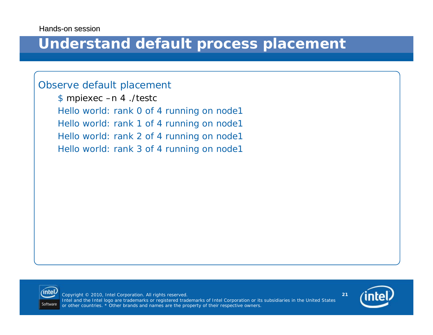#### **Understand default process placement**

#### Observe default placement

\$ *mpiexec –n 4 ./testc* Hello world: rank 0 of 4 running on node1 Hello world: rank 1 of 4 running on node1 Hello world: rank 2 of 4 running on node1 Hello world: rank 3 of 4 running on node1



Copyright © 2010, Intel Corporation. All rights reserved. Intel and the Intel logo are trademarks or registered trademarks of Intel Corporation or its subsidiaries in the United States or other countries. \* Other brands and names are the property of their respective owners.

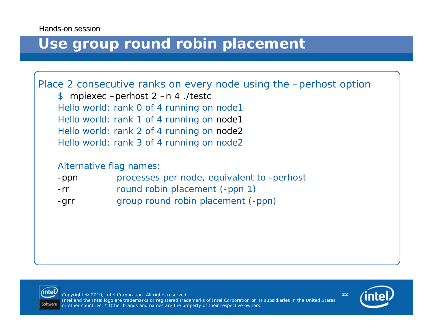#### **Use group round robin placement**

Place 2 consecutive ranks on every node using the –perhost option

\$ *mpiexec –perhost 2 –n 4 ./testc* Hello world: rank 0 of 4 running on node1 Hello world: rank 1 of 4 running on node1 Hello world: rank 2 of 4 running on node2 Hello world: rank 3 of 4 running on node2

#### Alternative flag names:

| -ppn |  |  |  | processes per node, equivalent to -perhost |  |  |
|------|--|--|--|--------------------------------------------|--|--|
|------|--|--|--|--------------------------------------------|--|--|

- -rrround robin placement (-ppn 1)
- -grr group round robin placement (-ppn)



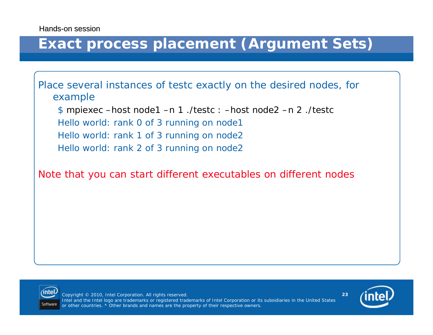## **Exact process placement (Argument Sets)**

Place several instances of *testc* exactly on the desired nodes, for example

\$ *mpiexec –host node1 –n 1 ./testc : –host node2 –n 2 ./testc* Hello world: rank 0 of 3 running on node1 Hello world: rank 1 of 3 running on node2 Hello world: rank 2 of 3 running on node2

Note that you can start different executables on different nodes



Copyright © 2010, Intel Corporation. All rights reserved. Intel and the Intel logo are trademarks or registered trademarks of Intel Corporation or its subsidiaries in the United States or other countries. \* Other brands and names are the property of their respective owners.

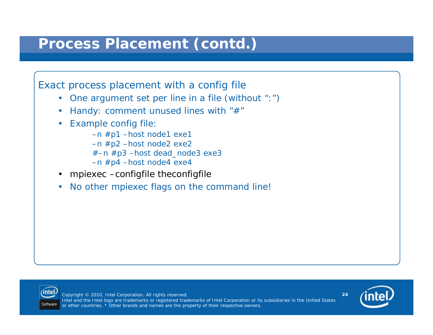### **Process Placement (***contd***.)**

Exact process placement with a config file

- One argument set per line in a file (without ":")
- •Handy: comment unused lines with "*#*"
- Example config file:
	- –n #p1 –host node1 exe1 –n #p2 –host node2 exe2
	- $#$ –n  $#p3$  –host dead node3 exe3
	- –n #p4 –host node4 exe4
- •mpiexec –configfile theconfigfile
- •No other *mpiexec* flags on the command line!



Copyright © 2010, Intel Corporation. All rights reserved. Intel and the Intel logo are trademarks or registered trademarks of Intel Corporation or its subsidiaries in the United States or other countries. \* Other brands and names are the property of their respective owners.

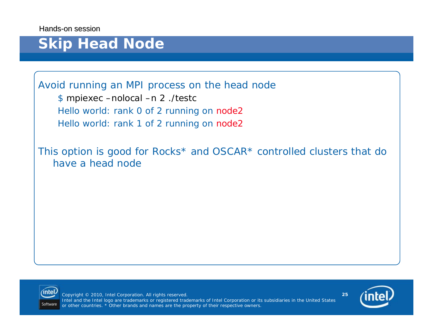## **Skip Head Node**

Avoid running an MPI process on the head node

\$ *mpiexec –nolocal –n 2 ./testc* Hello world: rank 0 of 2 running on node2 Hello world: rank 1 of 2 running on node2

This option is good for Rocks\* and OSCAR\* controlled clusters that do have a head node



Copyright © 2010, Intel Corporation. All rights reserved. Intel and the Intel logo are trademarks or registered trademarks of Intel Corporation or its subsidiaries in the United States or other countries. \* Other brands and names are the property of their respective owners.

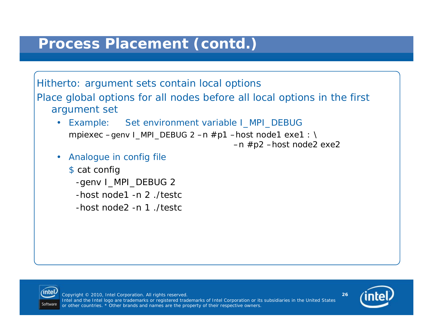#### **Process Placement (***contd***.)**

Hitherto: argument sets contain local options Place global options for all nodes before all local options in the first

- argument set
	- Example: Set environment variable *I\_MPI\_DEBUG* mpiexec  $-$ genv I\_MPI\_DEBUG 2  $-$ n  $\#$ p1  $-$ host node1 exe1 : \  $-n$  #p2  $-$ host node2 exe2
	- • Analogue in config file
		- \$ *cat config -genv I\_MPI\_DEBUG 2 -host node1 -n 2 ./testc-host node2 -n 1 ./testc*



Copyright © 2010, Intel Corporation. All rights reserved. Intel and the Intel logo are trademarks or registered trademarks of Intel Corporation or its subsidiaries in the United States or other countries. \* Other brands and names are the property of their respective owners.

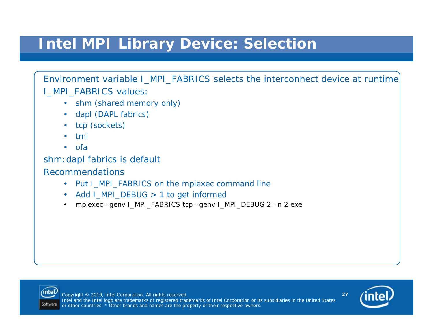## **Intel MPI Library Device: Selection**

Environment variable *I\_MPI\_FABRICS* selects the interconnect device at runtime *I\_MPI\_FABRICS* values:

- *shm* (shared memory only)
- •dapl (DAPL fabrics)
- •tcp (sockets)
- •tmi
- •ofa

#### *shm:dapl* fabrics is default

#### Recommendations

- Put *I\_MPI\_FABRICS* on the *mpiexec* command line
- •Add *I MPI DEBUG* > 1 to get informed
- •mpiexec –genv I\_MPI\_FABRICS tcp –genv I\_MPI\_DEBUG 2 –n 2 exe



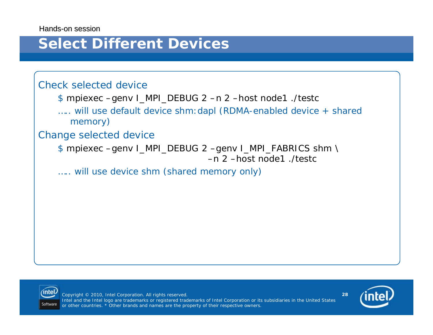#### **Select Different Devices**

#### Check selected device

- \$ *mpiexec –genv I\_MPI\_DEBUG 2 –n 2 –host node1 ./testc*
- ….. will use default device shm:dapl (RDMA-enabled device + shared memory)

#### Change selected device

\$ *mpiexec –genv I\_MPI\_DEBUG 2 –genv I\_MPI\_FABRICS shm \ –n 2 –host node1 ./testc*

….. will use device shm (shared memory only)



Copyright © 2010, Intel Corporation. All rights reserved. Intel and the Intel logo are trademarks or registered trademarks of Intel Corporation or its subsidiaries in the United States or other countries. \* Other brands and names are the property of their respective owners.

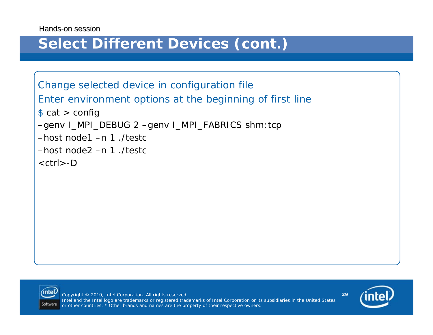### **Select Different Devices (cont.)**

Change selected device in configuration file Enter environment options at the beginning of first line \$ *cat > config –genv I\_MPI\_DEBUG 2 –genv I\_MPI\_FABRICS shm:tcp –host node1 –n 1 ./testc–host node2 –n 1 ./testc<ctrl>-D*



Copyright © 2010, Intel Corporation. All rights reserved. Intel and the Intel logo are trademarks or registered trademarks of Intel Corporation or its subsidiaries in the United States or other countries. \* Other brands and names are the property of their respective owners.

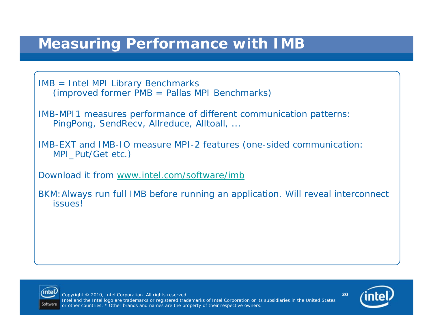### **Measuring Performance with IMB**

IMB = Intel MPI Library Benchmarks (improved former PMB = Pallas MPI Benchmarks)

IMB-MPI1 measures performance of different communication patterns: *PingPong*, *SendRecv*, *Allreduce*, *Alltoall*, ...

IMB-EXT and IMB-IO measure MPI-2 features (one-sided communication: MPI Put/Get etc.)

Download it from [www.intel.com/software/imb](http://www.intel.com/software/imb)

BKM:Always run full IMB before running an application. Will reveal interconnect issues!



Copyright © 2010, Intel Corporation. All rights reserved. Intel and the Intel logo are trademarks or registered trademarks of Intel Corporation or its subsidiaries in the United States or other countries. \* Other brands and names are the property of their respective owners.

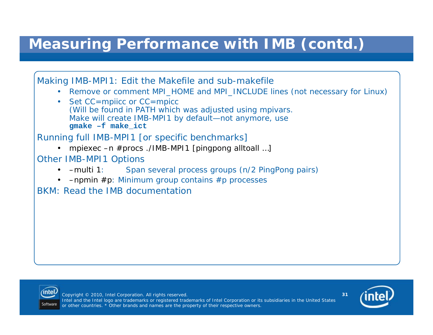## **Measuring Performance with IMB (***contd.***)**

Making IMB-MPI1: Edit the Makefile and sub-makefile • Remove or comment *MPI\_HOME* and *MPI\_INCLUDE* lines (not necessary for Linux) • Set *CC=mpiicc* or *CC=mpicc* (Will be found in *PATH* which was adjusted using *mpivars*. *Make* will create IMB-MPI1 by default—not anymore, use **gmake –f make\_ict** Running full IMB-MPI1 [or specific benchmarks] • mpiexec –n #procs ./IMB-MPI1 [pingpong alltoall …] Other IMB-MPI1 Options  $\bullet$  -multi 1: Span several process groups (n/2 PingPong pairs) • –npmin #p: Minimum group contains #p processes BKM: Read the IMB documentation



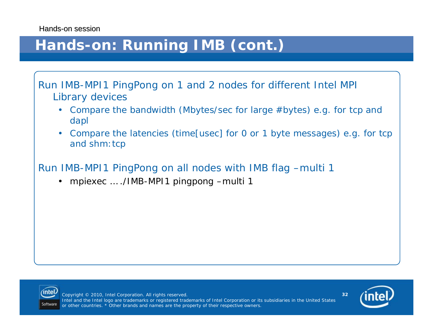## **Hands-on: Running IMB (cont.)**

Run IMB-MPI1 *PingPong* on 1 and 2 nodes for different Intel MPI Library devices

- Compare the bandwidth (Mbytes/sec for large #bytes) e.g. for tcp and dapl
- • Compare the latencies (time[usec] for 0 or 1 byte messages) e.g. for tcp and shm: tcp

Run IMB-MPI1 *PingPong* on all nodes with IMB flag *–multi 1*

•mpiexec … ./IMB-MPI1 pingpong –multi 1



Copyright © 2010, Intel Corporation. All rights reserved. Intel and the Intel logo are trademarks or registered trademarks of Intel Corporation or its subsidiaries in the United States or other countries. \* Other brands and names are the property of their respective owners.

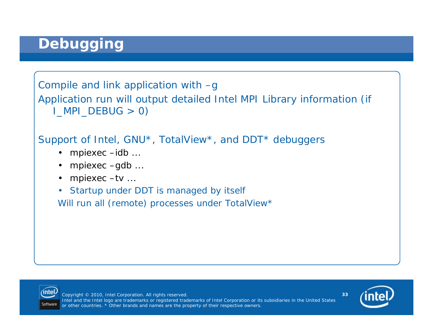## **Debugging**

Compile and link application with *–g* Application run will output detailed Intel MPI Library information (if I\_MPI\_DEBUG > 0)

#### Support of Intel, GNU\*, TotalView\*, and DDT\* debuggers

- mpiexec –idb ...
- mpiexec –gdb ...
- mpiexec –tv ...
- Startup under DDT is managed by itself

Will run all (remote) processes under TotalView\*



Copyright © 2010, Intel Corporation. All rights reserved. Intel and the Intel logo are trademarks or registered trademarks of Intel Corporation or its subsidiaries in the United States or other countries. \* Other brands and names are the property of their respective owners.

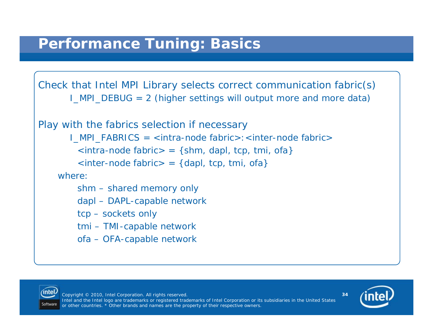Check that Intel MPI Library selects correct communication fabric(s) *I\_MPI\_DEBUG = 2 (*higher settings will output more and more data)

```
Play with the fabrics selection if necessary
       I_MPI_FABRICS = <intra-node fabric>:<inter-node fabric>
        <intra-node fabric> = {shm, dapl, tcp, tmi, ofa}
        <inter-node fabric> = {dapl, tcp, tmi, ofa}
    where:shm – shared memory only
        dapl – DAPL-capable network
        tcp – sockets only
        tmi – TMI-capable network
        ofa – OFA-capable network
```


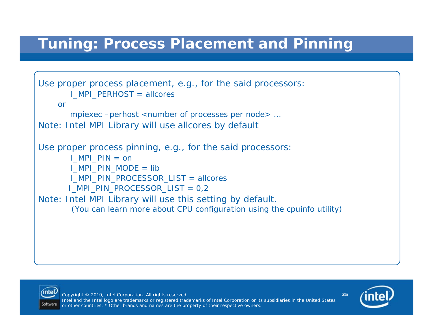## **Tuning: Process Placement and Pinning**

```
Use proper process placement, e.g., for the said processors:
       I_MPI_PERHOST = allcores
    ormpiexec –perhost <number of processes per node> …
Note: Intel MPI Library will use allcores by default
Use proper process pinning, e.g., for the said processors:
       I_MPI_PIN = on
       I_MPI_PIN_MODE = lib
       I_MPI_PIN_PROCESSOR_LIST = allcores
       I_MPI_PIN_PROCESSOR_LIST = 0,2
Note: Intel MPI Library will use this setting by default. 
        (You can learn more about CPU configuration using the cpuinfo utility)
```


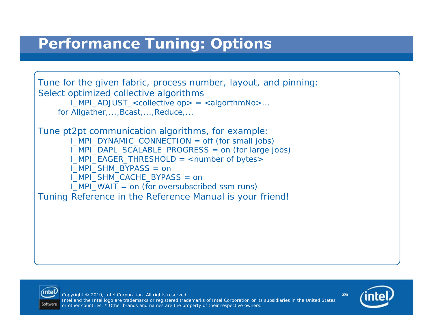### **Performance Tuning: Options**

Tune for the given fabric, process number, layout, and pinning: Select optimized collective algorithms *I\_MPI\_ADJUST\_<collective op> = <algorthmNo>...* for Allgather,..., Bcast,..., Reduce,...

Tune pt2pt communication algorithms, for example: *I\_MPI\_DYNAMIC\_CONNECTION = off* (for small jobs) *I\_MPI\_DAPL\_SCALABLE\_PROGRESS = on* (for large jobs*) I\_MPI\_EAGER\_THRESHOLD = <number of bytes> I\_MPI\_SHM\_BYPASS = on I\_MPI\_SHM\_CACHE\_BYPASS = on I\_MPI\_WAIT = on* (for oversubscribed ssm runs) Tuning Reference in the Reference Manual is your friend!



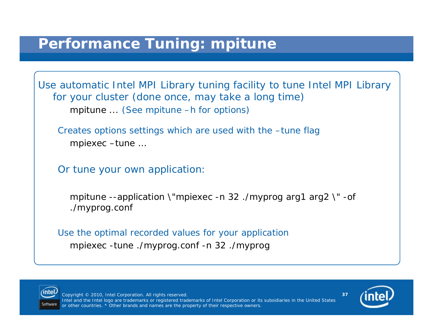### **Performance Tuning: mpitune**

Use automatic Intel MPI Library tuning facility to tune Intel MPI Library for your cluster (done once, may take a long time) *mpitune ...* (See mpitune –h for options)

Creates options settings which are used with the –tune flag *mpiexec –tune …*

Or tune your own application:

*mpitune --application \"mpiexec -n 32 ./myprog arg1 arg2 \" -of ./myprog.conf*

Use the optimal recorded values for your application *mpiexec -tune ./myprog.conf -n 32 ./myprog*



Copyright © 2010, Intel Corporation. All rights reserved. Intel and the Intel logo are trademarks or registered trademarks of Intel Corporation or its subsidiaries in the United States or other countries. \* Other brands and names are the property of their respective owners.

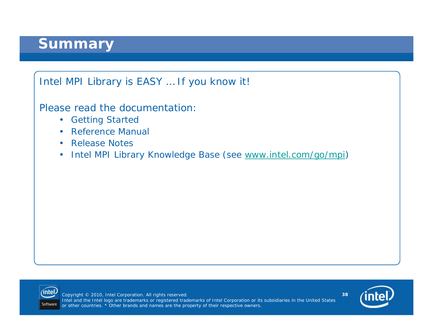### **Summary**



Please read the documentation:

- Getting Started
- Reference Manual
- Release Notes
- $\bullet$ Intel MPI Library Knowledge Base (see [www.intel.com/go/mpi](http://www.intel.com/go/mpi))